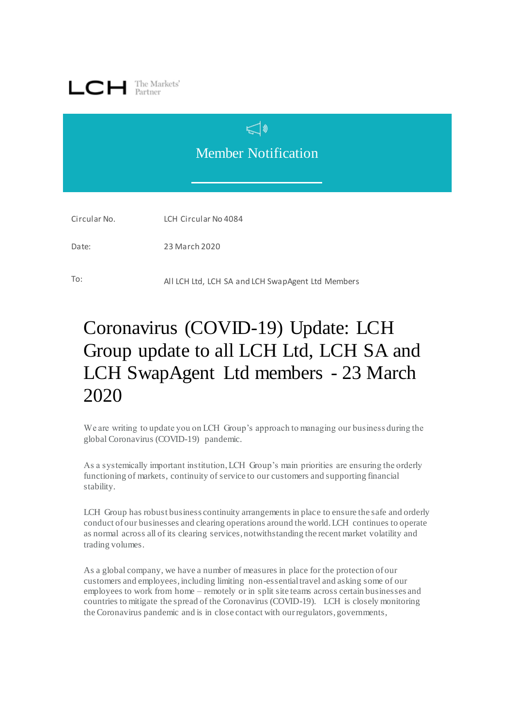

## Member Notification

 $\triangleleft$ 

Circular No. LCH Circular No 4084

Date: 23 March 2020

To: All LCH Ltd, LCH SA and LCH SwapAgent Ltd Members

## Coronavirus (COVID-19) Update: LCH Group update to all LCH Ltd, LCH SA and LCH SwapAgent Ltd members - 23 March 2020

We are writing to update you on LCH Group's approach to managing our business during the global Coronavirus (COVID-19) pandemic.

As a systemically important institution, LCH Group's main priorities are ensuring the orderly functioning of markets, continuity of service to our customers and supporting financial stability.

LCH Group has robust business continuity arrangements in place to ensure the safe and orderly conduct of our businesses and clearing operations around the world. LCH continues to operate as normal across all of its clearing services, notwithstanding the recent market volatility and trading volumes.

As a global company, we have a number of measures in place for the protection of our customers and employees, including limiting non-essential travel and asking some of our employees to work from home – remotely or in split site teams across certain businesses and countries to mitigate the spread of the Coronavirus (COVID-19). LCH is closely monitoring the Coronavirus pandemic and is in close contact with our regulators, governments,